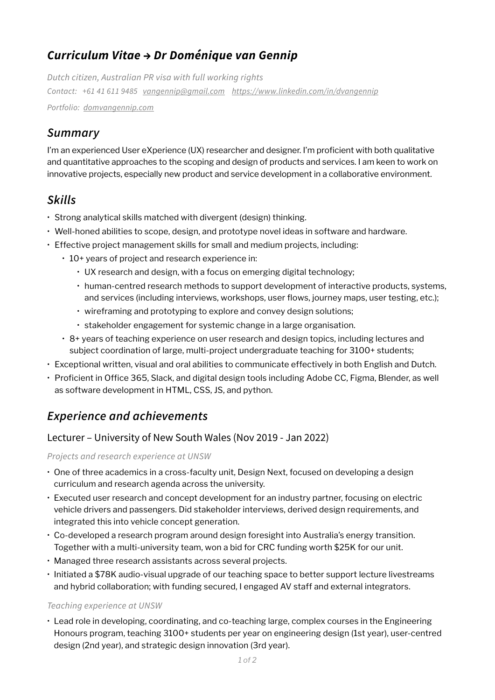# *Curriculum Vitae → Dr Doménique van Gennip*

*Dutch citizen, Australian PR visa with full working rights Contact: +61 41 611 9485 [vangennip@gmail.com](mailto:vangennip@gmail.com) <https://www.linkedin.com/in/dvangennip> Portfolio: [domvangennip.com](http://www.domvangennip.com)*

# *Summary*

I'm an experienced User eXperience (UX) researcher and designer. I'm proficient with both qualitative and quantitative approaches to the scoping and design of products and services. I am keen to work on innovative projects, especially new product and service development in a collaborative environment.

# *Skills*

- Strong analytical skills matched with divergent (design) thinking.
- Well-honed abilities to scope, design, and prototype novel ideas in software and hardware.
- Effective project management skills for small and medium projects, including:
	- 10+ years of project and research experience in:
		- UX research and design, with a focus on emerging digital technology;
		- human-centred research methods to support development of interactive products, systems, and services (including interviews, workshops, user flows, journey maps, user testing, etc.);
		- wireframing and prototyping to explore and convey design solutions;
		- stakeholder engagement for systemic change in a large organisation.
	- 8+ years of teaching experience on user research and design topics, including lectures and subject coordination of large, multi-project undergraduate teaching for 3100+ students;
- Exceptional written, visual and oral abilities to communicate effectively in both English and Dutch.
- Proficient in Office 365, Slack, and digital design tools including Adobe CC, Figma, Blender, as well as software development in HTML, CSS, JS, and python.

# *Experience and achievements*

### Lecturer – University of New South Wales (Nov 2019 - Jan 2022)

*Projects and research experience at UNSW*

- One of three academics in a cross-faculty unit, Design Next, focused on developing a design curriculum and research agenda across the university.
- Executed user research and concept development for an industry partner, focusing on electric vehicle drivers and passengers. Did stakeholder interviews, derived design requirements, and integrated this into vehicle concept generation.
- Co-developed a research program around design foresight into Australia's energy transition. Together with a multi-university team, won a bid for CRC funding worth \$25K for our unit.
- Managed three research assistants across several projects.
- Initiated a \$78K audio-visual upgrade of our teaching space to better support lecture livestreams and hybrid collaboration; with funding secured, I engaged AV staff and external integrators.

#### *Teaching experience at UNSW*

• Lead role in developing, coordinating, and co-teaching large, complex courses in the Engineering Honours program, teaching 3100+ students per year on engineering design (1st year), user-centred design (2nd year), and strategic design innovation (3rd year).